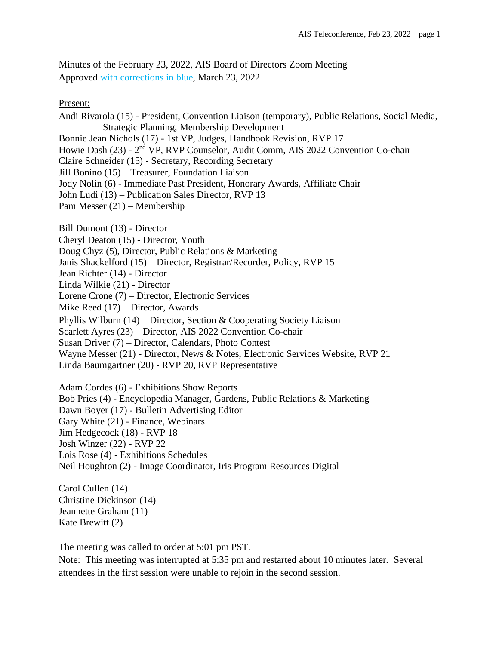Minutes of the February 23, 2022, AIS Board of Directors Zoom Meeting Approved with corrections in blue, March 23, 2022

Present:

Andi Rivarola (15) - President, Convention Liaison (temporary), Public Relations, Social Media, Strategic Planning, Membership Development Bonnie Jean Nichols (17) - 1st VP, Judges, Handbook Revision, RVP 17

Howie Dash (23) - 2<sup>nd</sup> VP, RVP Counselor, Audit Comm, AIS 2022 Convention Co-chair

Claire Schneider (15) - Secretary, Recording Secretary

Jill Bonino (15) – Treasurer, Foundation Liaison

Jody Nolin (6) - Immediate Past President, Honorary Awards, Affiliate Chair

John Ludi (13) – Publication Sales Director, RVP 13

Pam Messer (21) – Membership

Bill Dumont (13) - Director

Cheryl Deaton (15) - Director, Youth

Doug Chyz (5), Director, Public Relations & Marketing

Janis Shackelford (15) – Director, Registrar/Recorder, Policy, RVP 15

Jean Richter (14) - Director

Linda Wilkie (21) - Director

Lorene Crone (7) – Director, Electronic Services

Mike Reed (17) – Director, Awards

Phyllis Wilburn (14) – Director, Section & Cooperating Society Liaison

Scarlett Ayres (23) – Director, AIS 2022 Convention Co-chair

Susan Driver (7) – Director, Calendars, Photo Contest

Wayne Messer (21) - Director, News & Notes, Electronic Services Website, RVP 21

Linda Baumgartner (20) - RVP 20, RVP Representative

Adam Cordes (6) - Exhibitions Show Reports Bob Pries (4) - Encyclopedia Manager, Gardens, Public Relations & Marketing Dawn Boyer (17) - Bulletin Advertising Editor Gary White (21) - Finance, Webinars Jim Hedgecock (18) - RVP 18 Josh Winzer (22) - RVP 22 Lois Rose (4) - Exhibitions Schedules

Neil Houghton (2) - Image Coordinator, Iris Program Resources Digital

Carol Cullen (14) Christine Dickinson (14) Jeannette Graham (11) Kate Brewitt (2)

The meeting was called to order at 5:01 pm PST.

Note: This meeting was interrupted at 5:35 pm and restarted about 10 minutes later. Several attendees in the first session were unable to rejoin in the second session.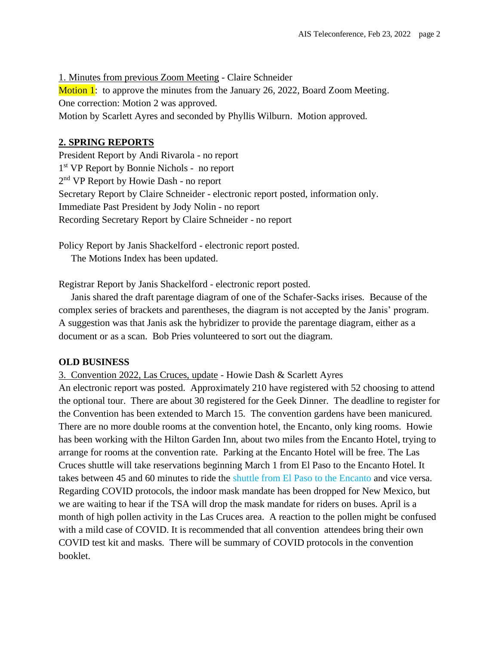1. Minutes from previous Zoom Meeting - Claire Schneider **Motion 1:** to approve the minutes from the January 26, 2022, Board Zoom Meeting. One correction: Motion 2 was approved. Motion by Scarlett Ayres and seconded by Phyllis Wilburn. Motion approved.

## **2. SPRING REPORTS**

President Report by Andi Rivarola - no report 1 st VP Report by Bonnie Nichols - no report 2<sup>nd</sup> VP Report by Howie Dash - no report Secretary Report by Claire Schneider - electronic report posted, information only. Immediate Past President by Jody Nolin - no report Recording Secretary Report by Claire Schneider - no report

Policy Report by Janis Shackelford - electronic report posted. The Motions Index has been updated.

Registrar Report by Janis Shackelford - electronic report posted.

 Janis shared the draft parentage diagram of one of the Schafer-Sacks irises. Because of the complex series of brackets and parentheses, the diagram is not accepted by the Janis' program. A suggestion was that Janis ask the hybridizer to provide the parentage diagram, either as a document or as a scan. Bob Pries volunteered to sort out the diagram.

## **OLD BUSINESS**

3. Convention 2022, Las Cruces, update - Howie Dash & Scarlett Ayres

An electronic report was posted. Approximately 210 have registered with 52 choosing to attend the optional tour. There are about 30 registered for the Geek Dinner. The deadline to register for the Convention has been extended to March 15. The convention gardens have been manicured. There are no more double rooms at the convention hotel, the Encanto, only king rooms. Howie has been working with the Hilton Garden Inn, about two miles from the Encanto Hotel, trying to arrange for rooms at the convention rate. Parking at the Encanto Hotel will be free. The Las Cruces shuttle will take reservations beginning March 1 from El Paso to the Encanto Hotel. It takes between 45 and 60 minutes to ride the shuttle from El Paso to the Encanto and vice versa. Regarding COVID protocols, the indoor mask mandate has been dropped for New Mexico, but we are waiting to hear if the TSA will drop the mask mandate for riders on buses. April is a month of high pollen activity in the Las Cruces area. A reaction to the pollen might be confused with a mild case of COVID. It is recommended that all convention attendees bring their own COVID test kit and masks. There will be summary of COVID protocols in the convention booklet.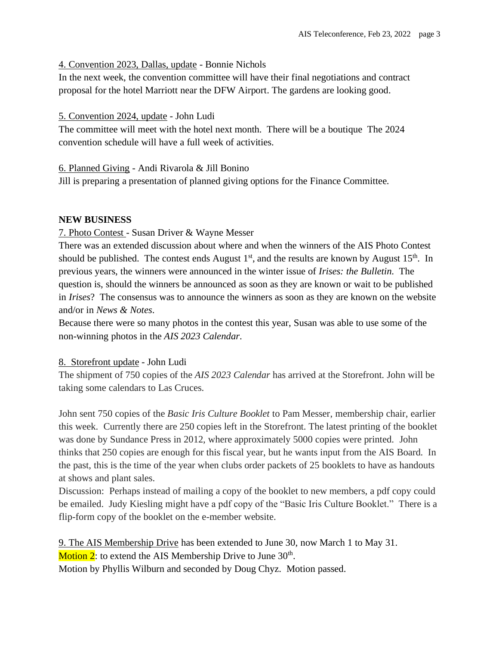### 4. Convention 2023, Dallas, update - Bonnie Nichols

In the next week, the convention committee will have their final negotiations and contract proposal for the hotel Marriott near the DFW Airport. The gardens are looking good.

### 5. Convention 2024, update - John Ludi

The committee will meet with the hotel next month. There will be a boutique The 2024 convention schedule will have a full week of activities.

### 6. Planned Giving - Andi Rivarola & Jill Bonino

Jill is preparing a presentation of planned giving options for the Finance Committee.

### **NEW BUSINESS**

### 7. Photo Contest - Susan Driver & Wayne Messer

There was an extended discussion about where and when the winners of the AIS Photo Contest should be published. The contest ends August  $1<sup>st</sup>$ , and the results are known by August  $15<sup>th</sup>$ . In previous years, the winners were announced in the winter issue of *Irises: the Bulletin*. The question is, should the winners be announced as soon as they are known or wait to be published in *Irises*? The consensus was to announce the winners as soon as they are known on the website and/or in *News & Notes*.

Because there were so many photos in the contest this year, Susan was able to use some of the non-winning photos in the *AIS 2023 Calendar*.

#### 8. Storefront update - John Ludi

The shipment of 750 copies of the *AIS 2023 Calendar* has arrived at the Storefront. John will be taking some calendars to Las Cruces.

John sent 750 copies of the *Basic Iris Culture Booklet* to Pam Messer, membership chair, earlier this week. Currently there are 250 copies left in the Storefront. The latest printing of the booklet was done by Sundance Press in 2012, where approximately 5000 copies were printed. John thinks that 250 copies are enough for this fiscal year, but he wants input from the AIS Board. In the past, this is the time of the year when clubs order packets of 25 booklets to have as handouts at shows and plant sales.

Discussion: Perhaps instead of mailing a copy of the booklet to new members, a pdf copy could be emailed. Judy Kiesling might have a pdf copy of the "Basic Iris Culture Booklet." There is a flip-form copy of the booklet on the e-member website.

9. The AIS Membership Drive has been extended to June 30, now March 1 to May 31. Motion 2: to extend the AIS Membership Drive to June 30<sup>th</sup>. Motion by Phyllis Wilburn and seconded by Doug Chyz. Motion passed.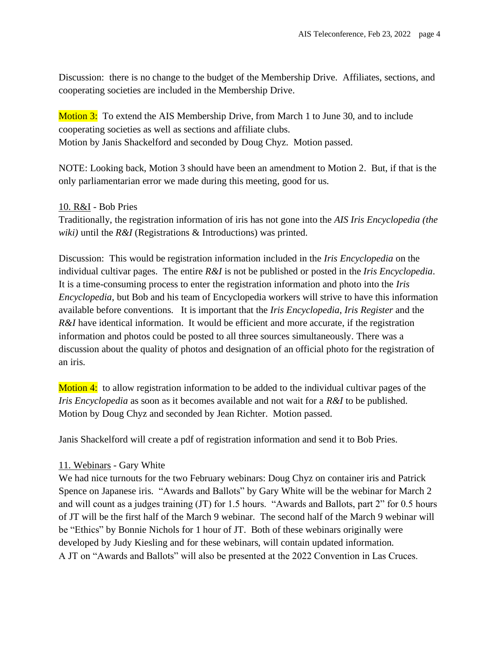Discussion: there is no change to the budget of the Membership Drive. Affiliates, sections, and cooperating societies are included in the Membership Drive.

Motion 3: To extend the AIS Membership Drive, from March 1 to June 30, and to include cooperating societies as well as sections and affiliate clubs. Motion by Janis Shackelford and seconded by Doug Chyz. Motion passed.

NOTE: Looking back, Motion 3 should have been an amendment to Motion 2. But, if that is the only parliamentarian error we made during this meeting, good for us.

## 10. R&I - Bob Pries

Traditionally, the registration information of iris has not gone into the *AIS Iris Encyclopedia (the wiki)* until the *R&I* (Registrations & Introductions) was printed.

Discussion: This would be registration information included in the *Iris Encyclopedia* on the individual cultivar pages. The entire *R&I* is not be published or posted in the *Iris Encyclopedia*. It is a time-consuming process to enter the registration information and photo into the *Iris Encyclopedia*, but Bob and his team of Encyclopedia workers will strive to have this information available before conventions. It is important that the *Iris Encyclopedia*, *Iris Register* and the *R&I* have identical information. It would be efficient and more accurate, if the registration information and photos could be posted to all three sources simultaneously. There was a discussion about the quality of photos and designation of an official photo for the registration of an iris.

Motion 4: to allow registration information to be added to the individual cultivar pages of the *Iris Encyclopedia* as soon as it becomes available and not wait for a *R&I* to be published. Motion by Doug Chyz and seconded by Jean Richter. Motion passed.

Janis Shackelford will create a pdf of registration information and send it to Bob Pries.

## 11. Webinars - Gary White

We had nice turnouts for the two February webinars: Doug Chyz on container iris and Patrick Spence on Japanese iris. "Awards and Ballots" by Gary White will be the webinar for March 2 and will count as a judges training (JT) for 1.5 hours. "Awards and Ballots, part 2" for 0.5 hours of JT will be the first half of the March 9 webinar. The second half of the March 9 webinar will be "Ethics" by Bonnie Nichols for 1 hour of JT. Both of these webinars originally were developed by Judy Kiesling and for these webinars, will contain updated information. A JT on "Awards and Ballots" will also be presented at the 2022 Convention in Las Cruces.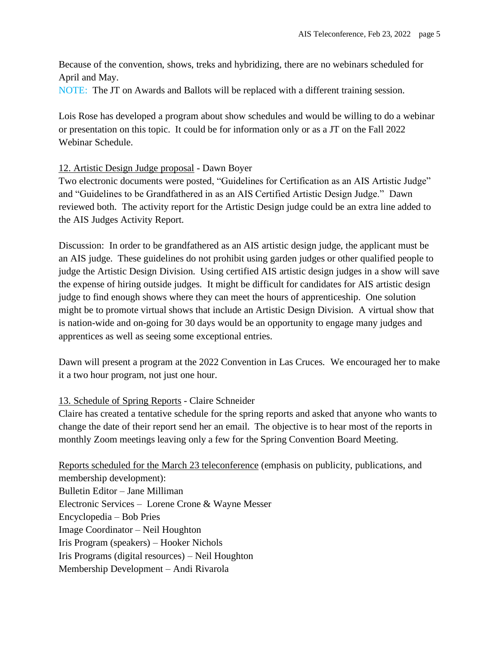Because of the convention, shows, treks and hybridizing, there are no webinars scheduled for April and May.

NOTE: The JT on Awards and Ballots will be replaced with a different training session.

Lois Rose has developed a program about show schedules and would be willing to do a webinar or presentation on this topic. It could be for information only or as a JT on the Fall 2022 Webinar Schedule.

# 12. Artistic Design Judge proposal - Dawn Boyer

Two electronic documents were posted, "Guidelines for Certification as an AIS Artistic Judge" and "Guidelines to be Grandfathered in as an AIS Certified Artistic Design Judge." Dawn reviewed both. The activity report for the Artistic Design judge could be an extra line added to the AIS Judges Activity Report.

Discussion: In order to be grandfathered as an AIS artistic design judge, the applicant must be an AIS judge. These guidelines do not prohibit using garden judges or other qualified people to judge the Artistic Design Division. Using certified AIS artistic design judges in a show will save the expense of hiring outside judges. It might be difficult for candidates for AIS artistic design judge to find enough shows where they can meet the hours of apprenticeship. One solution might be to promote virtual shows that include an Artistic Design Division. A virtual show that is nation-wide and on-going for 30 days would be an opportunity to engage many judges and apprentices as well as seeing some exceptional entries.

Dawn will present a program at the 2022 Convention in Las Cruces. We encouraged her to make it a two hour program, not just one hour.

## 13. Schedule of Spring Reports - Claire Schneider

Claire has created a tentative schedule for the spring reports and asked that anyone who wants to change the date of their report send her an email. The objective is to hear most of the reports in monthly Zoom meetings leaving only a few for the Spring Convention Board Meeting.

Reports scheduled for the March 23 teleconference (emphasis on publicity, publications, and membership development): Bulletin Editor – Jane Milliman Electronic Services – Lorene Crone & Wayne Messer Encyclopedia – Bob Pries Image Coordinator – Neil Houghton Iris Program (speakers) – Hooker Nichols Iris Programs (digital resources) – Neil Houghton Membership Development – Andi Rivarola